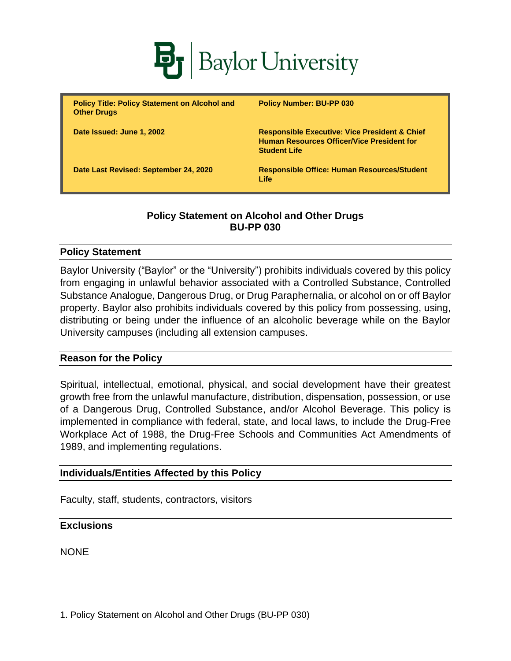

| <b>Policy Title: Policy Statement on Alcohol and</b><br><b>Other Drugs</b> | <b>Policy Number: BU-PP 030</b>                                                                                                      |
|----------------------------------------------------------------------------|--------------------------------------------------------------------------------------------------------------------------------------|
| Date Issued: June 1, 2002                                                  | <b>Responsible Executive: Vice President &amp; Chief</b><br><b>Human Resources Officer/Vice President for</b><br><b>Student Life</b> |
| Date Last Revised: September 24, 2020                                      | <b>Responsible Office: Human Resources/Student</b><br>Life                                                                           |

# **Policy Statement on Alcohol and Other Drugs BU-PP 030**

### **Policy Statement**

Baylor University ("Baylor" or the "University") prohibits individuals covered by this policy from engaging in unlawful behavior associated with a Controlled Substance, Controlled Substance Analogue, Dangerous Drug, or Drug Paraphernalia, or alcohol on or off Baylor property. Baylor also prohibits individuals covered by this policy from possessing, using, distributing or being under the influence of an alcoholic beverage while on the Baylor University campuses (including all extension campuses.

#### **Reason for the Policy**

Spiritual, intellectual, emotional, physical, and social development have their greatest growth free from the unlawful manufacture, distribution, dispensation, possession, or use of a Dangerous Drug, Controlled Substance, and/or Alcohol Beverage. This policy is implemented in compliance with federal, state, and local laws, to include the Drug-Free Workplace Act of 1988, the Drug-Free Schools and Communities Act Amendments of 1989, and implementing regulations.

### **Individuals/Entities Affected by this Policy**

Faculty, staff, students, contractors, visitors

#### **Exclusions**

**NONE**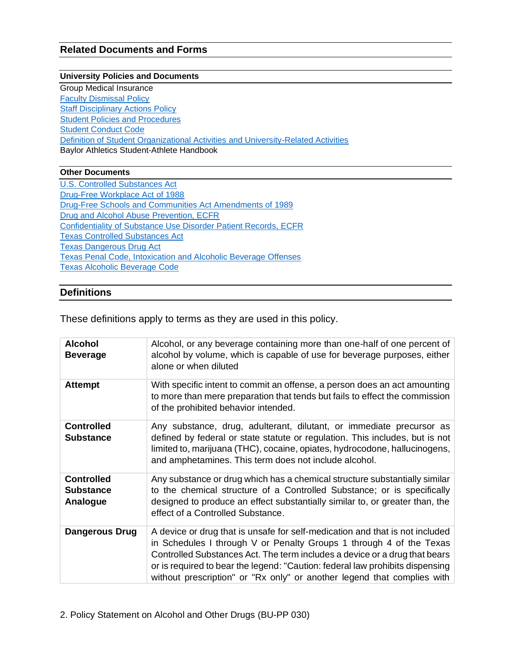### **Related Documents and Forms**

#### **University Policies and Documents**

Group Medical Insurance [Faculty Dismissal Policy](https://www.baylor.edu/risk/doc.php/339346.pdf) **[Staff Disciplinary Actions Policy](https://www.baylor.edu/risk/doc.php/339379.pdf) [Student Policies and Procedures](https://www.baylor.edu/student_policies/)** [Student Conduct Code](https://www.baylor.edu/risk/doc.php/343049.pdf) [Definition of Student Organizational Activities and University-Related Activities](https://www.baylor.edu/studentactivities/policy/index.php?id=949029) Baylor Athletics Student-Athlete Handbook

#### **Other Documents**

[U.S. Controlled Substances Act](https://www.deadiversion.usdoj.gov/21cfr/21usc/811.htm) [Drug-Free Workplace Act of 1988](https://uscode.house.gov/view.xhtml?req=(title:41%20chapter:81%20edition:prelim)%20) [Drug-Free Schools and Communities Act Amendments of 1989](https://uscode.house.gov/statutes/pl/101/226.pdf) [Drug and Alcohol Abuse Prevention, ECFR](https://www.ecfr.gov/cgi-bin/text-idx?SID=393301a7cdccca1ea71f18aae51824e7&node=34:1.1.1.1.30&rgn=div5) Confidentiality of [Substance Use Disorder Patient Records, ECFR](https://www.ecfr.gov/cgi-bin/text-idx?rgn=div5;node=42%3A1.0.1.1.2) [Texas Controlled Substances Act](https://statutes.capitol.texas.gov/docs/HS/htm/HS.481.htm)  [Texas Dangerous Drug Act](https://statutes.capitol.texas.gov/Docs/HS/htm/HS.483.htm) Texas [Penal Code, Intoxication and Alcoholic Beverage Offenses](https://statutes.capitol.texas.gov/Docs/PE/htm/PE.49.htm) [Texas Alcoholic Beverage Code](https://statutes.capitol.texas.gov/Docs/AL/htm/AL.106.htm)

#### **Definitions**

These definitions apply to terms as they are used in this policy.

| <b>Alcohol</b><br><b>Beverage</b>                 | Alcohol, or any beverage containing more than one-half of one percent of<br>alcohol by volume, which is capable of use for beverage purposes, either<br>alone or when diluted                                                                                                                                                                                                                 |
|---------------------------------------------------|-----------------------------------------------------------------------------------------------------------------------------------------------------------------------------------------------------------------------------------------------------------------------------------------------------------------------------------------------------------------------------------------------|
| <b>Attempt</b>                                    | With specific intent to commit an offense, a person does an act amounting<br>to more than mere preparation that tends but fails to effect the commission<br>of the prohibited behavior intended.                                                                                                                                                                                              |
| <b>Controlled</b><br><b>Substance</b>             | Any substance, drug, adulterant, dilutant, or immediate precursor as<br>defined by federal or state statute or regulation. This includes, but is not<br>limited to, marijuana (THC), cocaine, opiates, hydrocodone, hallucinogens,<br>and amphetamines. This term does not include alcohol.                                                                                                   |
| <b>Controlled</b><br><b>Substance</b><br>Analogue | Any substance or drug which has a chemical structure substantially similar<br>to the chemical structure of a Controlled Substance; or is specifically<br>designed to produce an effect substantially similar to, or greater than, the<br>effect of a Controlled Substance.                                                                                                                    |
| <b>Dangerous Drug</b>                             | A device or drug that is unsafe for self-medication and that is not included<br>in Schedules I through V or Penalty Groups 1 through 4 of the Texas<br>Controlled Substances Act. The term includes a device or a drug that bears<br>or is required to bear the legend: "Caution: federal law prohibits dispensing<br>without prescription" or "Rx only" or another legend that complies with |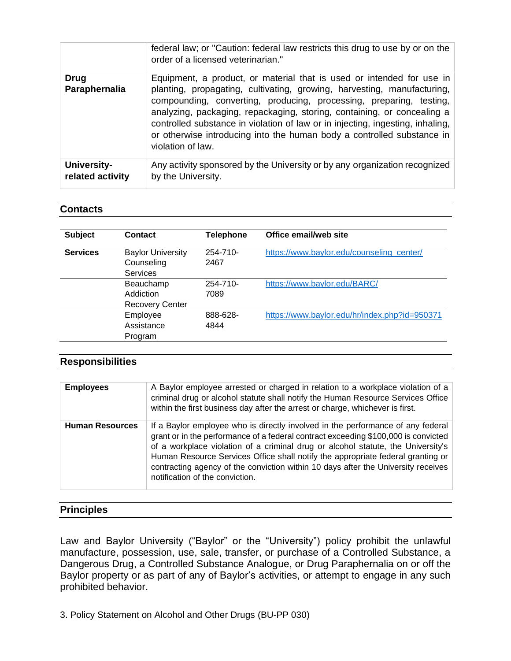|                                        | federal law; or "Caution: federal law restricts this drug to use by or on the<br>order of a licensed veterinarian."                                                                                                                                                                                                                                                                                                                                                                 |
|----------------------------------------|-------------------------------------------------------------------------------------------------------------------------------------------------------------------------------------------------------------------------------------------------------------------------------------------------------------------------------------------------------------------------------------------------------------------------------------------------------------------------------------|
| <b>Drug</b><br>Paraphernalia           | Equipment, a product, or material that is used or intended for use in<br>planting, propagating, cultivating, growing, harvesting, manufacturing,<br>compounding, converting, producing, processing, preparing, testing,<br>analyzing, packaging, repackaging, storing, containing, or concealing a<br>controlled substance in violation of law or in injecting, ingesting, inhaling,<br>or otherwise introducing into the human body a controlled substance in<br>violation of law. |
| <b>University-</b><br>related activity | Any activity sponsored by the University or by any organization recognized<br>by the University.                                                                                                                                                                                                                                                                                                                                                                                    |

#### **Contacts**

| <b>Subject</b>  | Contact                                                   | <b>Telephone</b>      | Office email/web site                         |
|-----------------|-----------------------------------------------------------|-----------------------|-----------------------------------------------|
| <b>Services</b> | <b>Baylor University</b><br>Counseling<br><b>Services</b> | $254 - 710 -$<br>2467 | https://www.baylor.edu/counseling center/     |
|                 | Beauchamp<br>Addiction<br><b>Recovery Center</b>          | $254 - 710 -$<br>7089 | https://www.baylor.edu/BARC/                  |
|                 | Employee<br>Assistance<br>Program                         | 888-628-<br>4844      | https://www.baylor.edu/hr/index.php?id=950371 |

### **Responsibilities**

| <b>Employees</b>       | A Baylor employee arrested or charged in relation to a workplace violation of a<br>criminal drug or alcohol statute shall notify the Human Resource Services Office<br>within the first business day after the arrest or charge, whichever is first.                                                                                                                                                                                                                 |
|------------------------|----------------------------------------------------------------------------------------------------------------------------------------------------------------------------------------------------------------------------------------------------------------------------------------------------------------------------------------------------------------------------------------------------------------------------------------------------------------------|
| <b>Human Resources</b> | If a Baylor employee who is directly involved in the performance of any federal<br>grant or in the performance of a federal contract exceeding \$100,000 is convicted<br>of a workplace violation of a criminal drug or alcohol statute, the University's<br>Human Resource Services Office shall notify the appropriate federal granting or<br>contracting agency of the conviction within 10 days after the University receives<br>notification of the conviction. |

### **Principles**

Law and Baylor University ("Baylor" or the "University") policy prohibit the unlawful manufacture, possession, use, sale, transfer, or purchase of a Controlled Substance, a Dangerous Drug, a Controlled Substance Analogue, or Drug Paraphernalia on or off the Baylor property or as part of any of Baylor's activities, or attempt to engage in any such prohibited behavior.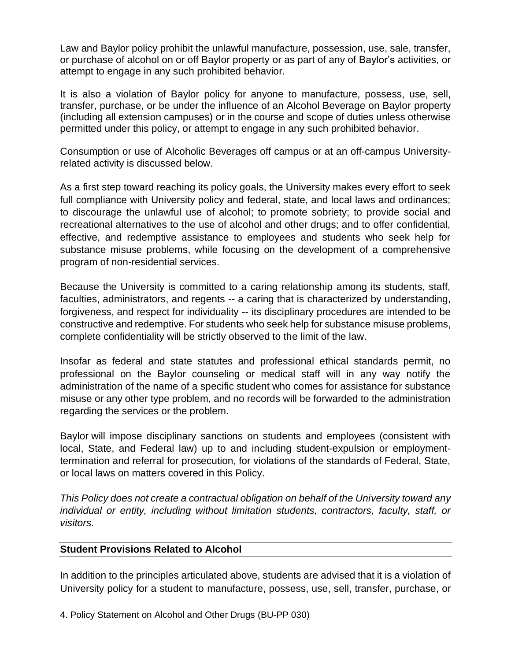Law and Baylor policy prohibit the unlawful manufacture, possession, use, sale, transfer, or purchase of alcohol on or off Baylor property or as part of any of Baylor's activities, or attempt to engage in any such prohibited behavior.

It is also a violation of Baylor policy for anyone to manufacture, possess, use, sell, transfer, purchase, or be under the influence of an Alcohol Beverage on Baylor property (including all extension campuses) or in the course and scope of duties unless otherwise permitted under this policy, or attempt to engage in any such prohibited behavior.

Consumption or use of Alcoholic Beverages off campus or at an off-campus Universityrelated activity is discussed below.

As a first step toward reaching its policy goals, the University makes every effort to seek full compliance with University policy and federal, state, and local laws and ordinances; to discourage the unlawful use of alcohol; to promote sobriety; to provide social and recreational alternatives to the use of alcohol and other drugs; and to offer confidential, effective, and redemptive assistance to employees and students who seek help for substance misuse problems, while focusing on the development of a comprehensive program of non-residential services.

Because the University is committed to a caring relationship among its students, staff, faculties, administrators, and regents -- a caring that is characterized by understanding, forgiveness, and respect for individuality -- its disciplinary procedures are intended to be constructive and redemptive. For students who seek help for substance misuse problems, complete confidentiality will be strictly observed to the limit of the law.

Insofar as federal and state statutes and professional ethical standards permit, no professional on the Baylor counseling or medical staff will in any way notify the administration of the name of a specific student who comes for assistance for substance misuse or any other type problem, and no records will be forwarded to the administration regarding the services or the problem.

Baylor will impose disciplinary sanctions on students and employees (consistent with local, State, and Federal law) up to and including student-expulsion or employmenttermination and referral for prosecution, for violations of the standards of Federal, State, or local laws on matters covered in this Policy.

*This Policy does not create a contractual obligation on behalf of the University toward any individual or entity, including without limitation students, contractors, faculty, staff, or visitors.*

### **Student Provisions Related to Alcohol**

In addition to the principles articulated above, students are advised that it is a violation of University policy for a student to manufacture, possess, use, sell, transfer, purchase, or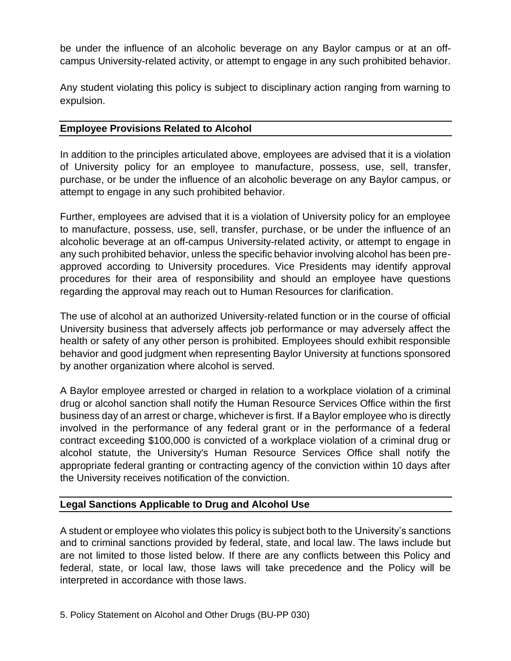be under the influence of an alcoholic beverage on any Baylor campus or at an offcampus University-related activity, or attempt to engage in any such prohibited behavior.

Any student violating this policy is subject to disciplinary action ranging from warning to expulsion.

## **Employee Provisions Related to Alcohol**

In addition to the principles articulated above, employees are advised that it is a violation of University policy for an employee to manufacture, possess, use, sell, transfer, purchase, or be under the influence of an alcoholic beverage on any Baylor campus, or attempt to engage in any such prohibited behavior.

Further, employees are advised that it is a violation of University policy for an employee to manufacture, possess, use, sell, transfer, purchase, or be under the influence of an alcoholic beverage at an off-campus University-related activity, or attempt to engage in any such prohibited behavior, unless the specific behavior involving alcohol has been preapproved according to University procedures. Vice Presidents may identify approval procedures for their area of responsibility and should an employee have questions regarding the approval may reach out to Human Resources for clarification.

The use of alcohol at an authorized University-related function or in the course of official University business that adversely affects job performance or may adversely affect the health or safety of any other person is prohibited. Employees should exhibit responsible behavior and good judgment when representing Baylor University at functions sponsored by another organization where alcohol is served.

A Baylor employee arrested or charged in relation to a workplace violation of a criminal drug or alcohol sanction shall notify the Human Resource Services Office within the first business day of an arrest or charge, whichever is first. If a Baylor employee who is directly involved in the performance of any federal grant or in the performance of a federal contract exceeding \$100,000 is convicted of a workplace violation of a criminal drug or alcohol statute, the University's Human Resource Services Office shall notify the appropriate federal granting or contracting agency of the conviction within 10 days after the University receives notification of the conviction.

# **Legal Sanctions Applicable to Drug and Alcohol Use**

A student or employee who violates this policy is subject both to the University's sanctions and to criminal sanctions provided by federal, state, and local law. The laws include but are not limited to those listed below. If there are any conflicts between this Policy and federal, state, or local law, those laws will take precedence and the Policy will be interpreted in accordance with those laws.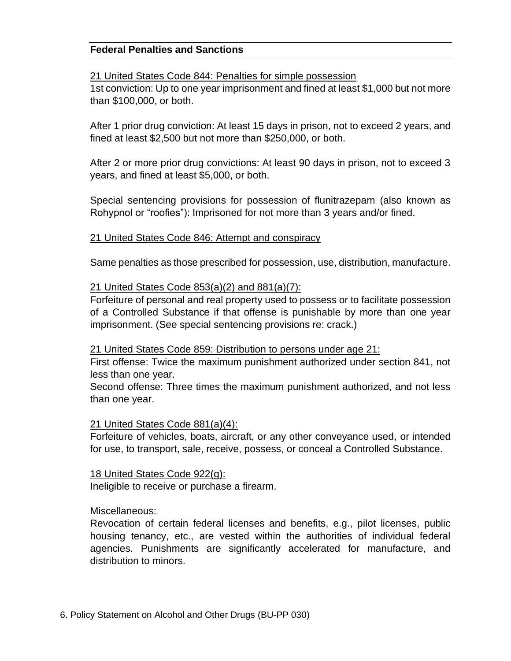### **Federal Penalties and Sanctions**

### 21 United States Code 844: Penalties for simple possession

1st conviction: Up to one year imprisonment and fined at least \$1,000 but not more than \$100,000, or both.

After 1 prior drug conviction: At least 15 days in prison, not to exceed 2 years, and fined at least \$2,500 but not more than \$250,000, or both.

After 2 or more prior drug convictions: At least 90 days in prison, not to exceed 3 years, and fined at least \$5,000, or both.

Special sentencing provisions for possession of flunitrazepam (also known as Rohypnol or "roofies"): Imprisoned for not more than 3 years and/or fined.

### 21 United States Code 846: Attempt and conspiracy

Same penalties as those prescribed for possession, use, distribution, manufacture.

### 21 United States Code 853(a)(2) and 881(a)(7):

Forfeiture of personal and real property used to possess or to facilitate possession of a Controlled Substance if that offense is punishable by more than one year imprisonment. (See special sentencing provisions re: crack.)

#### 21 United States Code 859: Distribution to persons under age 21:

First offense: Twice the maximum punishment authorized under section 841, not less than one year.

Second offense: Three times the maximum punishment authorized, and not less than one year.

### 21 United States Code 881(a)(4):

Forfeiture of vehicles, boats, aircraft, or any other conveyance used, or intended for use, to transport, sale, receive, possess, or conceal a Controlled Substance.

18 United States Code 922(g): Ineligible to receive or purchase a firearm.

### Miscellaneous:

Revocation of certain federal licenses and benefits, e.g., pilot licenses, public housing tenancy, etc., are vested within the authorities of individual federal agencies. Punishments are significantly accelerated for manufacture, and distribution to minors.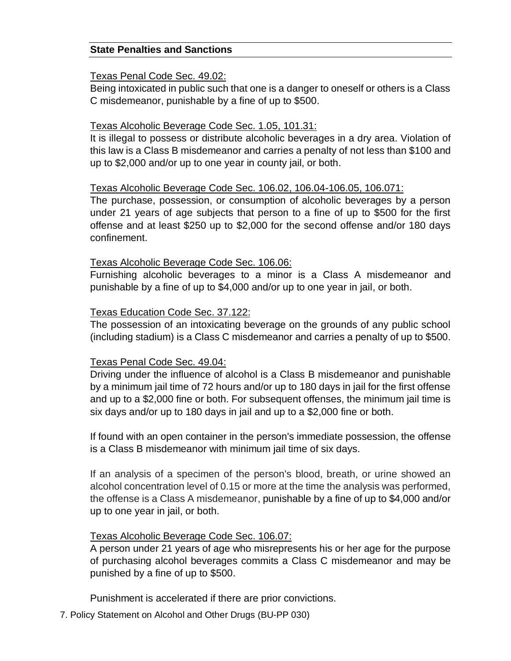### **State Penalties and Sanctions**

#### Texas Penal Code Sec. 49.02:

Being intoxicated in public such that one is a danger to oneself or others is a Class C misdemeanor, punishable by a fine of up to \$500.

### Texas Alcoholic Beverage Code Sec. 1.05, 101.31:

It is illegal to possess or distribute alcoholic beverages in a dry area. Violation of this law is a Class B misdemeanor and carries a penalty of not less than \$100 and up to \$2,000 and/or up to one year in county jail, or both.

### Texas Alcoholic Beverage Code Sec. 106.02, 106.04-106.05, 106.071:

The purchase, possession, or consumption of alcoholic beverages by a person under 21 years of age subjects that person to a fine of up to \$500 for the first offense and at least \$250 up to \$2,000 for the second offense and/or 180 days confinement.

### Texas Alcoholic Beverage Code Sec. 106.06:

Furnishing alcoholic beverages to a minor is a Class A misdemeanor and punishable by a fine of up to \$4,000 and/or up to one year in jail, or both.

### Texas Education Code Sec. 37.122:

The possession of an intoxicating beverage on the grounds of any public school (including stadium) is a Class C misdemeanor and carries a penalty of up to \$500.

### Texas Penal Code Sec. 49.04:

Driving under the influence of alcohol is a Class B misdemeanor and punishable by a minimum jail time of 72 hours and/or up to 180 days in jail for the first offense and up to a \$2,000 fine or both. For subsequent offenses, the minimum jail time is six days and/or up to 180 days in jail and up to a \$2,000 fine or both.

If found with an open container in the person's immediate possession, the offense is a Class B misdemeanor with minimum jail time of six days.

If an analysis of a specimen of the person's blood, breath, or urine showed an alcohol concentration level of 0.15 or more at the time the analysis was performed, the offense is a Class A misdemeanor, punishable by a fine of up to \$4,000 and/or up to one year in jail, or both.

### Texas Alcoholic Beverage Code Sec. 106.07:

A person under 21 years of age who misrepresents his or her age for the purpose of purchasing alcohol beverages commits a Class C misdemeanor and may be punished by a fine of up to \$500.

Punishment is accelerated if there are prior convictions.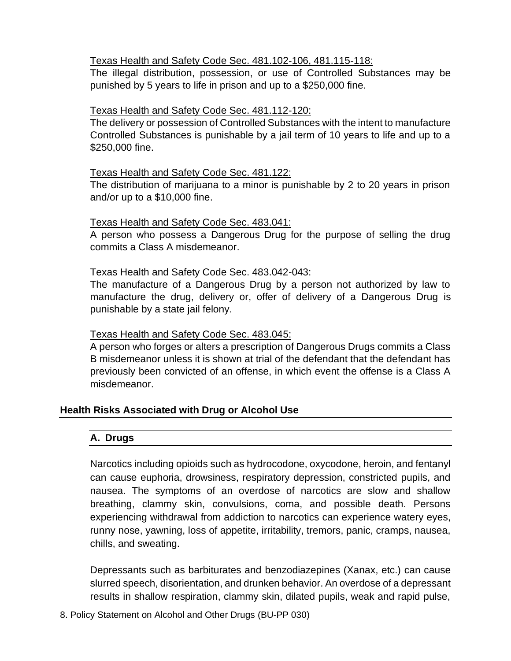### Texas Health and Safety Code Sec. 481.102-106, 481.115-118:

The illegal distribution, possession, or use of Controlled Substances may be punished by 5 years to life in prison and up to a \$250,000 fine.

## Texas Health and Safety Code Sec. 481.112-120:

The delivery or possession of Controlled Substances with the intent to manufacture Controlled Substances is punishable by a jail term of 10 years to life and up to a \$250,000 fine.

### Texas Health and Safety Code Sec. 481.122:

The distribution of marijuana to a minor is punishable by 2 to 20 years in prison and/or up to a \$10,000 fine.

### Texas Health and Safety Code Sec. 483.041:

A person who possess a Dangerous Drug for the purpose of selling the drug commits a Class A misdemeanor.

## Texas Health and Safety Code Sec. 483.042-043:

The manufacture of a Dangerous Drug by a person not authorized by law to manufacture the drug, delivery or, offer of delivery of a Dangerous Drug is punishable by a state jail felony.

### Texas Health and Safety Code Sec. 483.045:

A person who forges or alters a prescription of Dangerous Drugs commits a Class B misdemeanor unless it is shown at trial of the defendant that the defendant has previously been convicted of an offense, in which event the offense is a Class A misdemeanor.

# **Health Risks Associated with Drug or Alcohol Use**

### **A. Drugs**

Narcotics including opioids such as hydrocodone, oxycodone, heroin, and fentanyl can cause euphoria, drowsiness, respiratory depression, constricted pupils, and nausea. The symptoms of an overdose of narcotics are slow and shallow breathing, clammy skin, convulsions, coma, and possible death. Persons experiencing withdrawal from addiction to narcotics can experience watery eyes, runny nose, yawning, loss of appetite, irritability, tremors, panic, cramps, nausea, chills, and sweating.

Depressants such as barbiturates and benzodiazepines (Xanax, etc.) can cause slurred speech, disorientation, and drunken behavior. An overdose of a depressant results in shallow respiration, clammy skin, dilated pupils, weak and rapid pulse,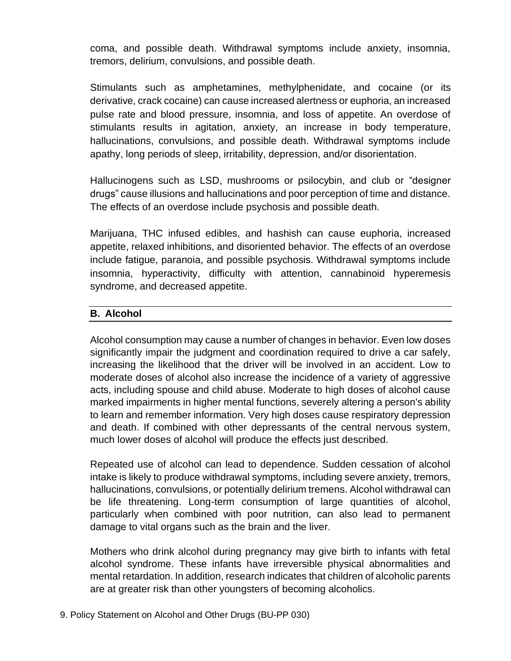coma, and possible death. Withdrawal symptoms include anxiety, insomnia, tremors, delirium, convulsions, and possible death.

Stimulants such as amphetamines, methylphenidate, and cocaine (or its derivative, crack cocaine) can cause increased alertness or euphoria, an increased pulse rate and blood pressure, insomnia, and loss of appetite. An overdose of stimulants results in agitation, anxiety, an increase in body temperature, hallucinations, convulsions, and possible death. Withdrawal symptoms include apathy, long periods of sleep, irritability, depression, and/or disorientation.

Hallucinogens such as LSD, mushrooms or psilocybin, and club or "designer drugs" cause illusions and hallucinations and poor perception of time and distance. The effects of an overdose include psychosis and possible death.

Marijuana, THC infused edibles, and hashish can cause euphoria, increased appetite, relaxed inhibitions, and disoriented behavior. The effects of an overdose include fatigue, paranoia, and possible psychosis. Withdrawal symptoms include insomnia, hyperactivity, difficulty with attention, cannabinoid hyperemesis syndrome, and decreased appetite.

## **B. Alcohol**

Alcohol consumption may cause a number of changes in behavior. Even low doses significantly impair the judgment and coordination required to drive a car safely, increasing the likelihood that the driver will be involved in an accident. Low to moderate doses of alcohol also increase the incidence of a variety of aggressive acts, including spouse and child abuse. Moderate to high doses of alcohol cause marked impairments in higher mental functions, severely altering a person's ability to learn and remember information. Very high doses cause respiratory depression and death. If combined with other depressants of the central nervous system, much lower doses of alcohol will produce the effects just described.

Repeated use of alcohol can lead to dependence. Sudden cessation of alcohol intake is likely to produce withdrawal symptoms, including severe anxiety, tremors, hallucinations, convulsions, or potentially delirium tremens. Alcohol withdrawal can be life threatening. Long-term consumption of large quantities of alcohol, particularly when combined with poor nutrition, can also lead to permanent damage to vital organs such as the brain and the liver.

Mothers who drink alcohol during pregnancy may give birth to infants with fetal alcohol syndrome. These infants have irreversible physical abnormalities and mental retardation. In addition, research indicates that children of alcoholic parents are at greater risk than other youngsters of becoming alcoholics.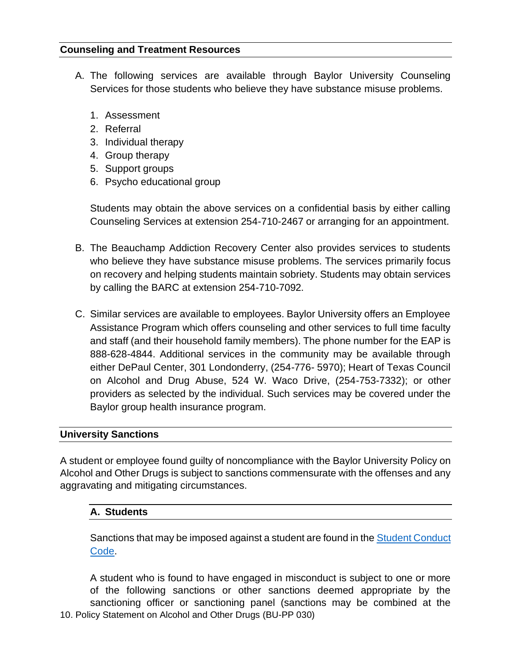### **Counseling and Treatment Resources**

- A. The following services are available through Baylor University Counseling Services for those students who believe they have substance misuse problems.
	- 1. Assessment
	- 2. Referral
	- 3. Individual therapy
	- 4. Group therapy
	- 5. Support groups
	- 6. Psycho educational group

Students may obtain the above services on a confidential basis by either calling Counseling Services at extension 254-710-2467 or arranging for an appointment.

- B. The Beauchamp Addiction Recovery Center also provides services to students who believe they have substance misuse problems. The services primarily focus on recovery and helping students maintain sobriety. Students may obtain services by calling the BARC at extension 254-710-7092.
- C. Similar services are available to employees. Baylor University offers an Employee Assistance Program which offers counseling and other services to full time faculty and staff (and their household family members). The phone number for the EAP is 888-628-4844. Additional services in the community may be available through either DePaul Center, 301 Londonderry, (254-776- 5970); Heart of Texas Council on Alcohol and Drug Abuse, 524 W. Waco Drive, (254-753-7332); or other providers as selected by the individual. Such services may be covered under the Baylor group health insurance program.

### **University Sanctions**

A student or employee found guilty of noncompliance with the Baylor University Policy on Alcohol and Other Drugs is subject to sanctions commensurate with the offenses and any aggravating and mitigating circumstances.

### **A. Students**

Sanctions that may be imposed against a student are found in the Student Conduct [Code.](https://www.baylor.edu/risk/doc.php/343049.pdf)

10. Policy Statement on Alcohol and Other Drugs (BU-PP 030) A student who is found to have engaged in misconduct is subject to one or more of the following sanctions or other sanctions deemed appropriate by the sanctioning officer or sanctioning panel (sanctions may be combined at the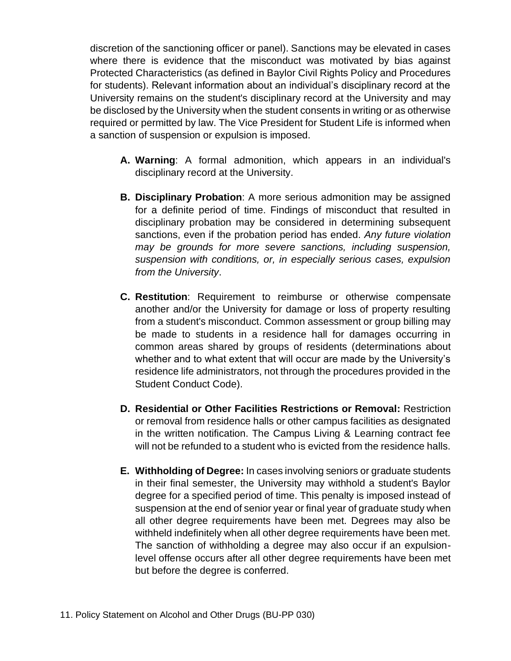discretion of the sanctioning officer or panel). Sanctions may be elevated in cases where there is evidence that the misconduct was motivated by bias against Protected Characteristics (as defined in Baylor Civil Rights Policy and Procedures for students). Relevant information about an individual's disciplinary record at the University remains on the student's disciplinary record at the University and may be disclosed by the University when the student consents in writing or as otherwise required or permitted by law. The Vice President for Student Life is informed when a sanction of suspension or expulsion is imposed.

- **A. Warning**: A formal admonition, which appears in an individual's disciplinary record at the University.
- **B. Disciplinary Probation**: A more serious admonition may be assigned for a definite period of time. Findings of misconduct that resulted in disciplinary probation may be considered in determining subsequent sanctions, even if the probation period has ended. *Any future violation may be grounds for more severe sanctions, including suspension, suspension with conditions, or, in especially serious cases, expulsion from the University*.
- **C. Restitution**: Requirement to reimburse or otherwise compensate another and/or the University for damage or loss of property resulting from a student's misconduct. Common assessment or group billing may be made to students in a residence hall for damages occurring in common areas shared by groups of residents (determinations about whether and to what extent that will occur are made by the University's residence life administrators, not through the procedures provided in the Student Conduct Code).
- **D. Residential or Other Facilities Restrictions or Removal:** Restriction or removal from residence halls or other campus facilities as designated in the written notification. The Campus Living & Learning contract fee will not be refunded to a student who is evicted from the residence halls.
- **E. Withholding of Degree:** In cases involving seniors or graduate students in their final semester, the University may withhold a student's Baylor degree for a specified period of time. This penalty is imposed instead of suspension at the end of senior year or final year of graduate study when all other degree requirements have been met. Degrees may also be withheld indefinitely when all other degree requirements have been met. The sanction of withholding a degree may also occur if an expulsionlevel offense occurs after all other degree requirements have been met but before the degree is conferred.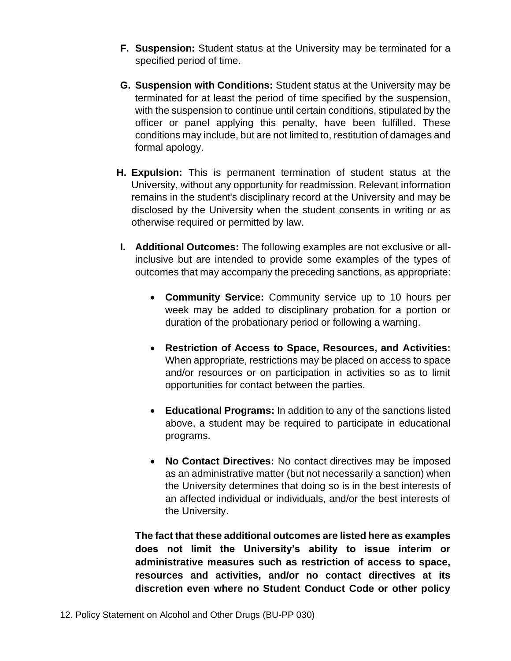- **F. Suspension:** Student status at the University may be terminated for a specified period of time.
- **G. Suspension with Conditions:** Student status at the University may be terminated for at least the period of time specified by the suspension, with the suspension to continue until certain conditions, stipulated by the officer or panel applying this penalty, have been fulfilled. These conditions may include, but are not limited to, restitution of damages and formal apology.
- **H. Expulsion:** This is permanent termination of student status at the University, without any opportunity for readmission. Relevant information remains in the student's disciplinary record at the University and may be disclosed by the University when the student consents in writing or as otherwise required or permitted by law.
- **I. Additional Outcomes:** The following examples are not exclusive or allinclusive but are intended to provide some examples of the types of outcomes that may accompany the preceding sanctions, as appropriate:
	- **Community Service:** Community service up to 10 hours per week may be added to disciplinary probation for a portion or duration of the probationary period or following a warning.
	- **Restriction of Access to Space, Resources, and Activities:** When appropriate, restrictions may be placed on access to space and/or resources or on participation in activities so as to limit opportunities for contact between the parties.
	- **Educational Programs:** In addition to any of the sanctions listed above, a student may be required to participate in educational programs.
	- **No Contact Directives:** No contact directives may be imposed as an administrative matter (but not necessarily a sanction) when the University determines that doing so is in the best interests of an affected individual or individuals, and/or the best interests of the University.

**The fact that these additional outcomes are listed here as examples does not limit the University's ability to issue interim or administrative measures such as restriction of access to space, resources and activities, and/or no contact directives at its discretion even where no Student Conduct Code or other policy**